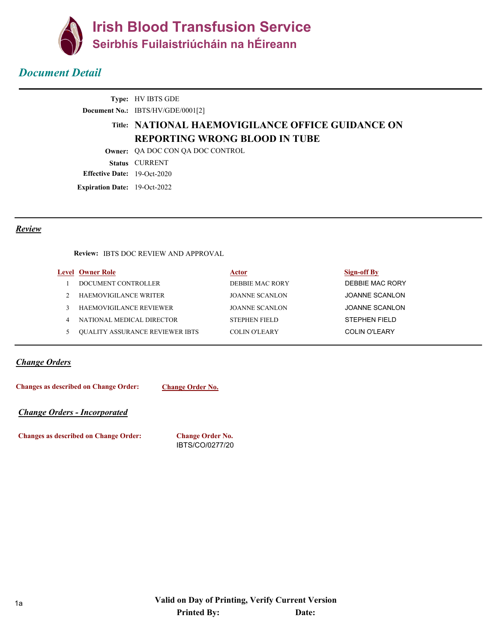

# *Document Detail*

|                                      | <b>Type:</b> HV IBTS GDE                          |
|--------------------------------------|---------------------------------------------------|
|                                      | Document No.: IBTS/HV/GDE/0001[2]                 |
|                                      | Title: NATIONAL HAEMOVIGILANCE OFFICE GUIDANCE ON |
|                                      | <b>REPORTING WRONG BLOOD IN TUBE</b>              |
|                                      | <b>Owner:</b> OA DOC CON OA DOC CONTROL           |
|                                      | <b>Status CURRENT</b>                             |
| <b>Effective Date:</b> $19-Oct-2020$ |                                                   |
| <b>Expiration Date:</b> 19-Oct-2022  |                                                   |

#### *Review*

**Review:** IBTS DOC REVIEW AND APPROVAL

|   | <b>Level Owner Role</b>                | Actor                 | Sign-off By     |
|---|----------------------------------------|-----------------------|-----------------|
|   | DOCUMENT CONTROLLER                    | DEBBIE MAC RORY       | DEBBIE MAC RORY |
|   | HAEMOVIGILANCE WRITER                  | JOANNE SCANLON        | JOANNE SCANLON  |
|   | <b>HAEMOVIGILANCE REVIEWER</b>         | <b>JOANNE SCANLON</b> | JOANNE SCANLON  |
| 4 | NATIONAL MEDICAL DIRECTOR              | <b>STEPHEN FIELD</b>  | STEPHEN FIELD   |
|   | <b>OUALITY ASSURANCE REVIEWER IBTS</b> | COLIN O'LEARY         | COLIN O'LEARY   |
|   |                                        |                       |                 |

#### *Change Orders*

**Change Order No. Changes as described on Change Order:**

*Change Orders - Incorporated*

**Changes as described on Change Order: Change Order No.**

IBTS/CO/0277/20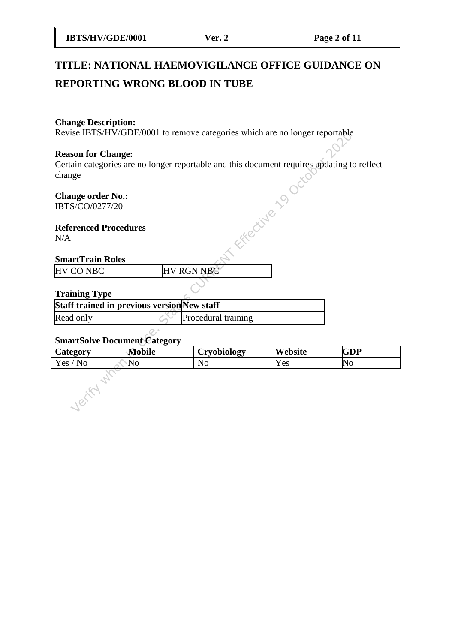| IBTS/HV/GDE/0001 | $\text{Ver. } \angle$ | Page 2 of 11 |
|------------------|-----------------------|--------------|
|                  |                       |              |

# **TITLE: NATIONAL HAEMOVIGILANCE OFFICE GUIDANCE ON REPORTING WRONG BLOOD IN TUBE**

#### **Change Description:**

Revise IBTS/HV/GDE/0001 to remove categories which are no longer reportable

#### **Reason for Change:**

Certain categories are no longer reportable and this document requires updating to reflect change

## **Referenced Procedures** N/A

## **SmartTrain Roles**

#### **Training Type**

| change                                      | Certain categories are no longer reportable and this document requires up |
|---------------------------------------------|---------------------------------------------------------------------------|
| <b>Change order No.:</b><br>IBTS/CO/0277/20 |                                                                           |
| <b>Referenced Procedures</b><br>N/A         | <b>THE CITYP</b>                                                          |
| <b>SmartTrain Roles</b>                     |                                                                           |
| <b>HV CO NBC</b>                            | <b>HV RGN NBC</b>                                                         |
| <b>Training Type</b>                        |                                                                           |
| Staff trained in previous version New staff |                                                                           |
| Read only                                   | Procedural training                                                       |
|                                             |                                                                           |

## **SmartSolve Document Category**

| Category | <b>Mobile</b> | Cryobiology | Website | <b>GDP</b> |
|----------|---------------|-------------|---------|------------|
| Yes / No | No            | No          | Yes     | NO         |
|          |               |             |         |            |
|          |               |             |         |            |
|          |               |             |         |            |
|          |               |             |         |            |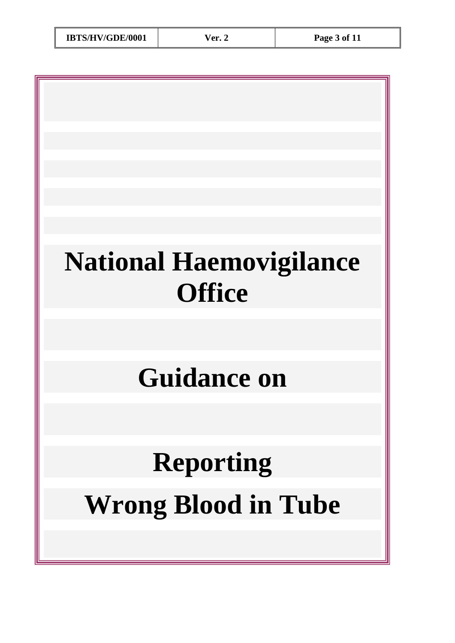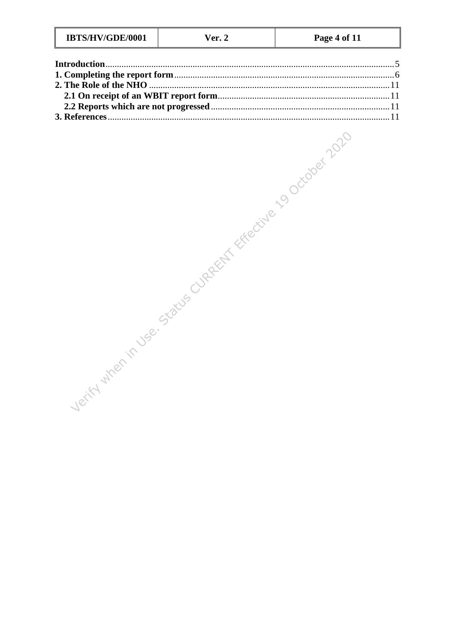| IBTS/HV/GDE/0001<br>Ver. | Page 4 of 11 |
|--------------------------|--------------|
|--------------------------|--------------|

| Verify when in view states cupages for the condition of the conditions in the |  |
|-------------------------------------------------------------------------------|--|
|                                                                               |  |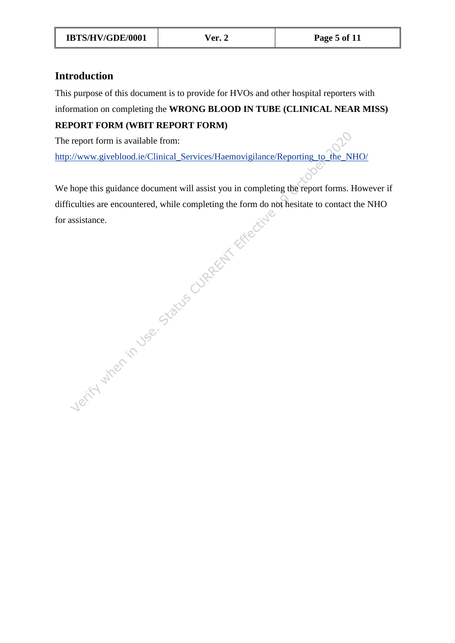# <span id="page-4-0"></span>**Introduction**

This purpose of this document is to provide for HVOs and other hospital reporters with

# information on completing the **WRONG BLOOD IN TUBE (CLINICAL NEAR MISS)**

# **REPORT FORM (WBIT REPORT FORM)**

The report form is available from:

http://www.giveblood.ie/Clinical\_Services/Haemovigilance/Reporting\_to\_the\_NHO/

Verify when in Use. Status CURRENT Effective We hope this guidance document will assist you in completing the report forms. However if difficulties are encountered, while completing the form do not hesitate to contact the NHO for assistance.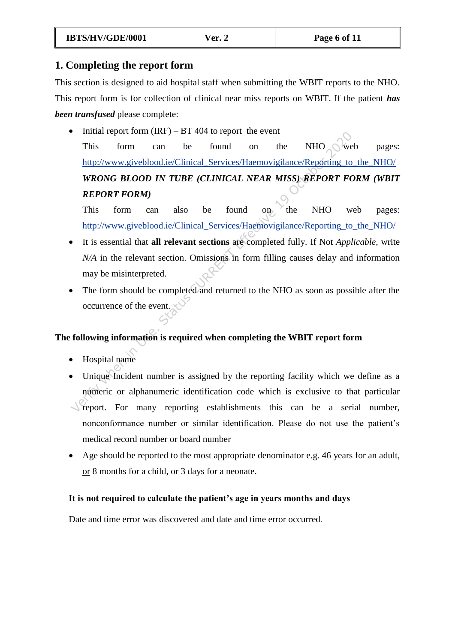# <span id="page-5-0"></span>**1. Completing the report form**

This section is designed to aid hospital staff when submitting the WBIT reports to the NHO. This report form is for collection of clinical near miss reports on WBIT. If the patient *has been transfused* please complete:

This form can be found on the NHO of web-<br>
Internation-be-<br>
This form can be found on the NHO of web-<br>
Internation-ATEAN MISS)-REPORT FORM<br>
This form can also be found on the NHO web-<br>
Internation-BLOOD IN TUBE (CLINICAL N  $\bullet$  Initial report form (IRF) – BT 404 to report the event This form can be found on the NHO web pages: http://www.giveblood.ie/Clinical\_Services/Haemovigilance/Reporting\_to\_the\_NHO/ *WRONG BLOOD IN TUBE (CLINICAL NEAR MISS) REPORT FORM (WBIT REPORT FORM)*

This form can also be found on the NHO web pages: http://www.giveblood.ie/Clinical\_Services/Haemovigilance/Reporting to the\_NHO/

- It is essential that **all relevant sections** are completed fully. If Not *Applicable,* write *N/A* in the relevant section. Omissions in form filling causes delay and information may be misinterpreted.
- The form should be completed and returned to the NHO as soon as possible after the occurrence of the event.

# **The following information is required when completing the WBIT report form**

- Hospital name
- Unique Incident number is assigned by the reporting facility which we define as a numeric or alphanumeric identification code which is exclusive to that particular report. For many reporting establishments this can be a serial number, nonconformance number or similar identification. Please do not use the patient's medical record number or board number
- Age should be reported to the most appropriate denominator e.g. 46 years for an adult, or 8 months for a child, or 3 days for a neonate.

## **It is not required to calculate the patient's age in years months and days**

Date and time error was discovered and date and time error occurred.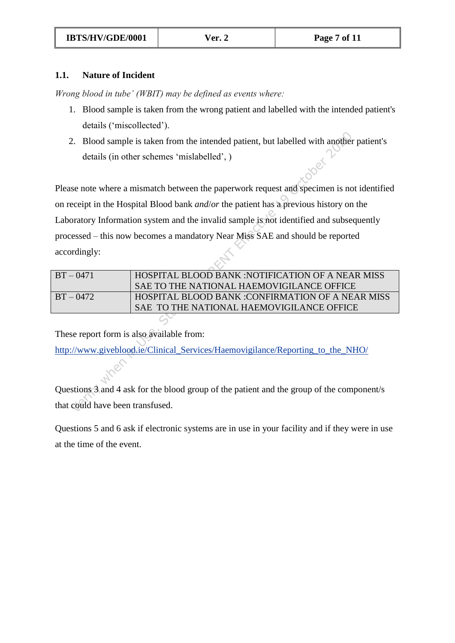## **1.1. Nature of Incident**

*Wrong blood in tube' (WBIT) may be defined as events where:* 

- 1. Blood sample is taken from the wrong patient and labelled with the intended patient's details ('miscollected').
- 2. Blood sample is taken from the intended patient, but labelled with another patient's details (in other schemes 'mislabelled', )

Verify the status Current of the intended patient, but labelled with another<br>
details (in other schemes 'mislabelled', )<br>
Se note where a mismatch between the paperwork request and specimen is no<br>
ecceipt in the Hospital B Please note where a mismatch between the paperwork request and specimen is not identified on receipt in the Hospital Blood bank *and*/*or* the patient has a previous history on the Laboratory Information system and the invalid sample is not identified and subsequently processed – this now becomes a mandatory Near Miss SAE and should be reported accordingly:

| $BT - 0471$ | HOSPITAL BLOOD BANK: NOTIFICATION OF A NEAR MISS |
|-------------|--------------------------------------------------|
|             | SAE TO THE NATIONAL HAEMOVIGILANCE OFFICE        |
| $BT - 0472$ | HOSPITAL BLOOD BANK :CONFIRMATION OF A NEAR MISS |
|             | SAE TO THE NATIONAL HAEMOVIGILANCE OFFICE        |
|             |                                                  |

These report form is also available from:

http://www.giveblood.ie/Clinical\_Services/Haemovigilance/Reporting\_to\_the\_NHO/

Questions 3 and 4 ask for the blood group of the patient and the group of the component/s that could have been transfused.

Questions 5 and 6 ask if electronic systems are in use in your facility and if they were in use at the time of the event.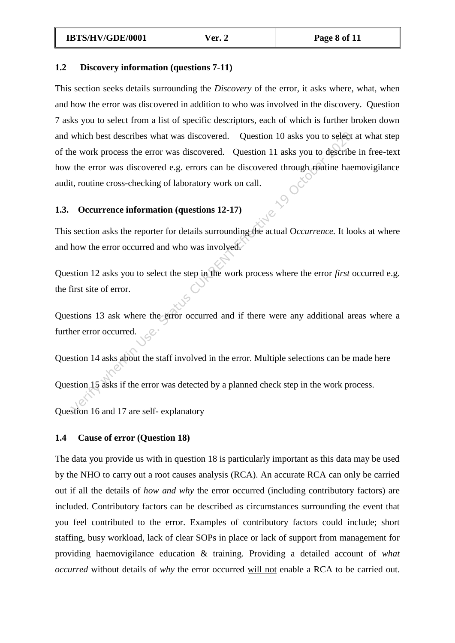## **1.2 Discovery information (questions 7-11)**

which best describes what was discovered. Question 10 asks you to select<br>
e work process the error was discovered. Question 11 asks you to describe<br>
the error was discovered e.g. errors can be discovered through routine h This section seeks details surrounding the *Discovery* of the error, it asks where, what, when and how the error was discovered in addition to who was involved in the discovery. Question 7 asks you to select from a list of specific descriptors, each of which is further broken down and which best describes what was discovered. Question 10 asks you to select at what step of the work process the error was discovered. Question 11 asks you to describe in free-text how the error was discovered e.g. errors can be discovered through routine haemovigilance audit, routine cross-checking of laboratory work on call.

## **1.3. Occurrence information (questions 12-17)**

This section asks the reporter for details surrounding the actual O*ccurrence.* It looks at where and how the error occurred and who was involved.

Question 12 asks you to select the step in the work process where the error *first* occurred e.g. the first site of error.

Questions 13 ask where the error occurred and if there were any additional areas where a further error occurred.

Question 14 asks about the staff involved in the error. Multiple selections can be made here

Question 15 asks if the error was detected by a planned check step in the work process.

Question 16 and 17 are self- explanatory

## **1.4 Cause of error (Question 18)**

The data you provide us with in question 18 is particularly important as this data may be used by the NHO to carry out a root causes analysis (RCA). An accurate RCA can only be carried out if all the details of *how and why* the error occurred (including contributory factors) are included. Contributory factors can be described as circumstances surrounding the event that you feel contributed to the error. Examples of contributory factors could include; short staffing, busy workload, lack of clear SOPs in place or lack of support from management for providing haemovigilance education & training. Providing a detailed account of *what occurred* without details of *why* the error occurred will not enable a RCA to be carried out.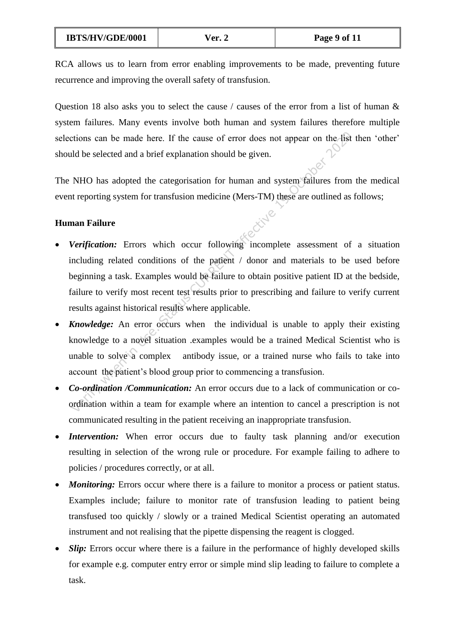RCA allows us to learn from error enabling improvements to be made, preventing future recurrence and improving the overall safety of transfusion.

Question 18 also asks you to select the cause / causes of the error from a list of human  $\&$ system failures. Many events involve both human and system failures therefore multiple selections can be made here. If the cause of error does not appear on the list then 'other' should be selected and a brief explanation should be given.

The NHO has adopted the categorisation for human and system failures from the medical event reporting system for transfusion medicine (Mers-TM) these are outlined as follows;

## **Human Failure**

- The status constraints are being the same of the cause of error does not appear on the list<br>and be selected and a brief explanation should be given.<br>NHO has adopted the categorisation for human and system failures from<br>tr *Verification:* Errors which occur following incomplete assessment of a situation including related conditions of the patient / donor and materials to be used before beginning a task. Examples would be failure to obtain positive patient ID at the bedside, failure to verify most recent test results prior to prescribing and failure to verify current results against historical results where applicable.
- *Knowledge:* An error occurs when the individual is unable to apply their existing knowledge to a novel situation .examples would be a trained Medical Scientist who is unable to solve a complex antibody issue, or a trained nurse who fails to take into account the patient's blood group prior to commencing a transfusion.
- *Co-ordination /Communication:* An error occurs due to a lack of communication or coordination within a team for example where an intention to cancel a prescription is not communicated resulting in the patient receiving an inappropriate transfusion.
- *Intervention:* When error occurs due to faulty task planning and/or execution resulting in selection of the wrong rule or procedure. For example failing to adhere to policies / procedures correctly, or at all.
- *Monitoring:* Errors occur where there is a failure to monitor a process or patient status. Examples include; failure to monitor rate of transfusion leading to patient being transfused too quickly / slowly or a trained Medical Scientist operating an automated instrument and not realising that the pipette dispensing the reagent is clogged.
- *Slip*: Errors occur where there is a failure in the performance of highly developed skills for example e.g. computer entry error or simple mind slip leading to failure to complete a task.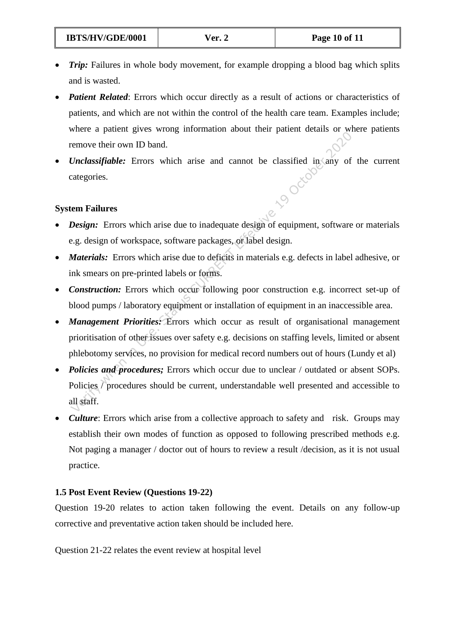- *Trip:* Failures in whole body movement, for example dropping a blood bag which splits and is wasted.
- *Patient Related:* Errors which occur directly as a result of actions or characteristics of patients, and which are not within the control of the health care team. Examples include; where a patient gives wrong information about their patient details or where patients remove their own ID band.
- *Unclassifiable:* Errors which arise and cannot be classified in any of the current categories. categories.

## **System Failures**

- *Design:* Errors which arise due to inadequate design of equipment, software or materials e.g. design of workspace, software packages, or label design.
- *Materials:* Errors which arise due to deficits in materials e.g. defects in label adhesive, or ink smears on pre-printed labels or forms.
- *Construction:* Errors which occur following poor construction e.g. incorrect set-up of blood pumps / laboratory equipment or installation of equipment in an inaccessible area.
- *Management Priorities:* Errors which occur as result of organisational management prioritisation of other issues over safety e.g. decisions on staffing levels, limited or absent phlebotomy services, no provision for medical record numbers out of hours (Lundy et al)
- Verify when the particle in the state of the classified in the particle in the particle in the particle in the component of the categories.<br> **Unclassifiable:** Errors which arise and cannot be classified in any of categorie *Policies and procedures;* Errors which occur due to unclear / outdated or absent SOPs. Policies / procedures should be current, understandable well presented and accessible to all staff.
- *Culture*: Errors which arise from a collective approach to safety and risk. Groups may establish their own modes of function as opposed to following prescribed methods e.g. Not paging a manager / doctor out of hours to review a result /decision, as it is not usual practice.

## **1.5 Post Event Review (Questions 19-22)**

Question 19-20 relates to action taken following the event. Details on any follow-up corrective and preventative action taken should be included here.

Question 21-22 relates the event review at hospital level